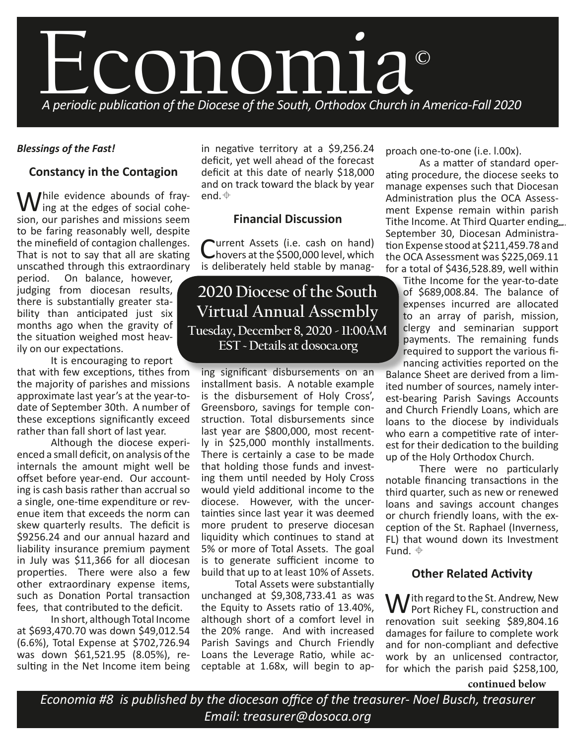

# *Blessings of the Fast!*

# **Constancy in the Contagion**

 $M^{\text{hile}}$  evidence abounds of fray-I ing at the edges of social cohesion, our parishes and missions seem to be faring reasonably well, despite the minefield of contagion challenges. That is not to say that all are skating unscathed through this extraordinary

period. On balance, however, judging from diocesan results, there is substantially greater stability than anticipated just six months ago when the gravity of the situation weighed most heavily on our expectations.

It is encouraging to report that with few exceptions, tithes from the majority of parishes and missions approximate last year's at the year-todate of September 30th. A number of these exceptions significantly exceed rather than fall short of last year.

Although the diocese experienced a small deficit, on analysis of the internals the amount might well be offset before year-end. Our accounting is cash basis rather than accrual so a single, one-time expenditure or revenue item that exceeds the norm can skew quarterly results. The deficit is \$9256.24 and our annual hazard and liability insurance premium payment in July was \$11,366 for all diocesan properties. There were also a few other extraordinary expense items, such as Donation Portal transaction fees, that contributed to the deficit.

In short, although Total Income at \$693,470.70 was down \$49,012.54 (6.6%), Total Expense at \$702,726.94 was down \$61,521.95 (8.05%), resulting in the Net Income item being in negative territory at a \$9,256.24 deficit, yet well ahead of the forecast deficit at this date of nearly \$18,000 and on track toward the black by year end.  $\oplus$ 

# **Financial Discussion**

**Purrent Assets (i.e. cash on hand)** hovers at the \$500,000 level, which is deliberately held stable by manag-

# **2020 Diocese of the South Virtual Annual Assembly Tuesday, December 8, 2020 - 11:00AM EST ~ Details at dosoca.org**

ing significant disbursements on an installment basis. A notable example is the disbursement of Holy Cross', Greensboro, savings for temple construction. Total disbursements since last year are \$800,000, most recently in \$25,000 monthly installments. There is certainly a case to be made that holding those funds and investing them until needed by Holy Cross would yield additional income to the diocese. However, with the uncertainties since last year it was deemed more prudent to preserve diocesan liquidity which continues to stand at 5% or more of Total Assets. The goal is to generate sufficient income to build that up to at least 10% of Assets. Total Assets were substantially

unchanged at \$9,308,733.41 as was the Equity to Assets ratio of 13.40%, although short of a comfort level in the 20% range. And with increased Parish Savings and Church Friendly Loans the Leverage Ratio, while acceptable at 1.68x, will begin to approach one-to-one (i.e. l.00x).

As a matter of standard operating procedure, the diocese seeks to manage expenses such that Diocesan Administration plus the OCA Assessment Expense remain within parish Tithe Income. At Third Quarter ending... September 30, Diocesan Administration Expense stood at \$211,459.78 and the OCA Assessment was \$225,069.11 for a total of \$436,528.89, well within

Tithe Income for the year-to-date of \$689,008.84. The balance of expenses incurred are allocated to an array of parish, mission, clergy and seminarian support payments. The remaining funds required to support the various financing activities reported on the

Balance Sheet are derived from a limited number of sources, namely interest-bearing Parish Savings Accounts and Church Friendly Loans, which are loans to the diocese by individuals who earn a competitive rate of interest for their dedication to the building up of the Holy Orthodox Church.

There were no particularly notable financing transactions in the third quarter, such as new or renewed loans and savings account changes or church friendly loans, with the exception of the St. Raphael (Inverness, FL) that wound down its Investment Fund.  $\oplus$ 

# **Other Related Activity**

With regard to the St. Andrew, New<br>Port Richey FL, construction and renovation suit seeking \$89,804.16 damages for failure to complete work and for non-compliant and defective work by an unlicensed contractor, for which the parish paid \$258,100,

**continued below**

*Economia #8 is published by the diocesan office of the treasurer- Noel Busch, treasurer Email: treasurer@dosoca.org*